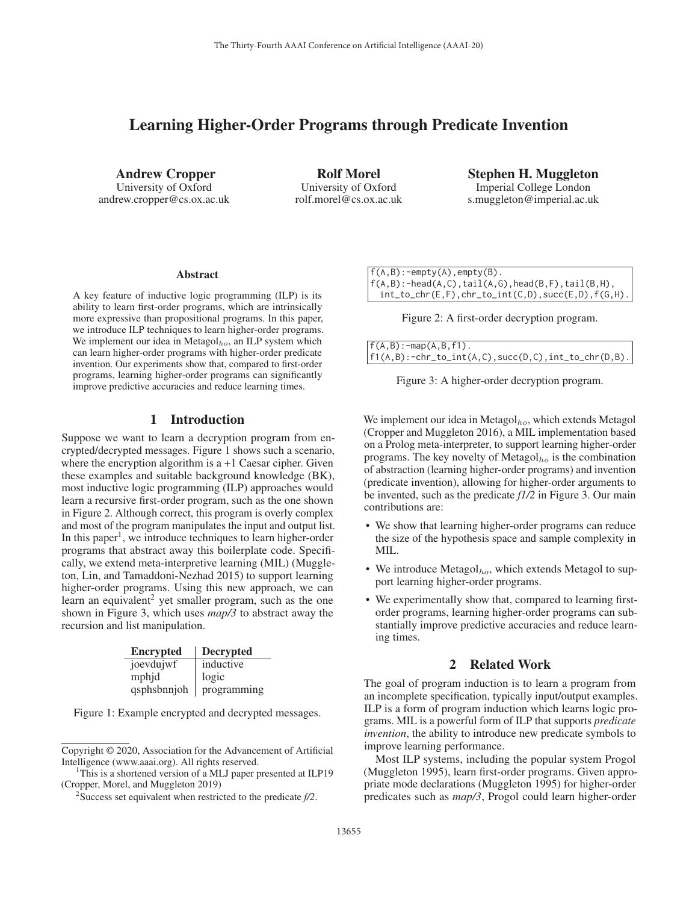# Learning Higher-Order Programs through Predicate Invention

Andrew Cropper University of Oxford andrew.cropper@cs.ox.ac.uk

Rolf Morel University of Oxford rolf.morel@cs.ox.ac.uk Stephen H. Muggleton Imperial College London s.muggleton@imperial.ac.uk

#### Abstract

A key feature of inductive logic programming (ILP) is its ability to learn first-order programs, which are intrinsically more expressive than propositional programs. In this paper, we introduce ILP techniques to learn higher-order programs. We implement our idea in Metagol $_{ho}$ , an ILP system which can learn higher-order programs with higher-order predicate invention. Our experiments show that, compared to first-order programs, learning higher-order programs can significantly improve predictive accuracies and reduce learning times.

# 1 Introduction

Suppose we want to learn a decryption program from encrypted/decrypted messages. Figure 1 shows such a scenario, where the encryption algorithm is  $a + 1$  Caesar cipher. Given these examples and suitable background knowledge (BK), most inductive logic programming (ILP) approaches would learn a recursive first-order program, such as the one shown in Figure 2. Although correct, this program is overly complex and most of the program manipulates the input and output list. In this paper<sup>1</sup>, we introduce techniques to learn higher-order programs that abstract away this boilerplate code. Specifically, we extend meta-interpretive learning (MIL) (Muggleton, Lin, and Tamaddoni-Nezhad 2015) to support learning higher-order programs. Using this new approach, we can learn an equivalent<sup>2</sup> yet smaller program, such as the one shown in Figure 3, which uses *map/3* to abstract away the recursion and list manipulation.

| Encrypted   | Decrypted   |
|-------------|-------------|
| joevdujwf   | inductive   |
| mphjd       | logic       |
| qsphsbnnjoh | programming |

Figure 1: Example encrypted and decrypted messages.

 $f(A,B):$ -empty $(A)$ , empty $(B)$ .  $f(A,B):$ -head $(A,C)$ ,tail $(A,G)$ ,head $(B,F)$ ,tail $(B,H)$ ,  $int\_to\_chr(E,F)$ ,  $chr\_to\_int(C,D)$ ,  $succ(E,D)$ ,  $f(G,H)$ .

Figure 2: A first-order decryption program.

| $f(A, B)$ : -map $(A, B, f1)$ .                       |  |
|-------------------------------------------------------|--|
| $f1(A,B):-chr_to(int(A,C),succ(D,C),int_to_chr(D,B).$ |  |

| Figure 3: A higher-order decryption program. |  |
|----------------------------------------------|--|
|                                              |  |

We implement our idea in Metagol $_{ho}$ , which extends Metagol (Cropper and Muggleton 2016), a MIL implementation based on a Prolog meta-interpreter, to support learning higher-order programs. The key novelty of Metagol $_{ho}$  is the combination of abstraction (learning higher-order programs) and invention (predicate invention), allowing for higher-order arguments to be invented, such as the predicate *f1/2* in Figure 3. Our main contributions are:

- We show that learning higher-order programs can reduce the size of the hypothesis space and sample complexity in MIL.
- We introduce  $Metagol<sub>ho</sub>$ , which extends Metagol to support learning higher-order programs.
- We experimentally show that, compared to learning firstorder programs, learning higher-order programs can substantially improve predictive accuracies and reduce learning times.

# 2 Related Work

The goal of program induction is to learn a program from an incomplete specification, typically input/output examples. ILP is a form of program induction which learns logic programs. MIL is a powerful form of ILP that supports *predicate invention*, the ability to introduce new predicate symbols to improve learning performance.

Most ILP systems, including the popular system Progol (Muggleton 1995), learn first-order programs. Given appropriate mode declarations (Muggleton 1995) for higher-order predicates such as *map/3*, Progol could learn higher-order

Copyright © 2020, Association for the Advancement of Artificial Intelligence (www.aaai.org). All rights reserved. <sup>1</sup>

<sup>&</sup>lt;sup>1</sup>This is a shortened version of a MLJ paper presented at ILP19 (Cropper, Morel, and Muggleton 2019)

<sup>2</sup> Success set equivalent when restricted to the predicate *f/2*.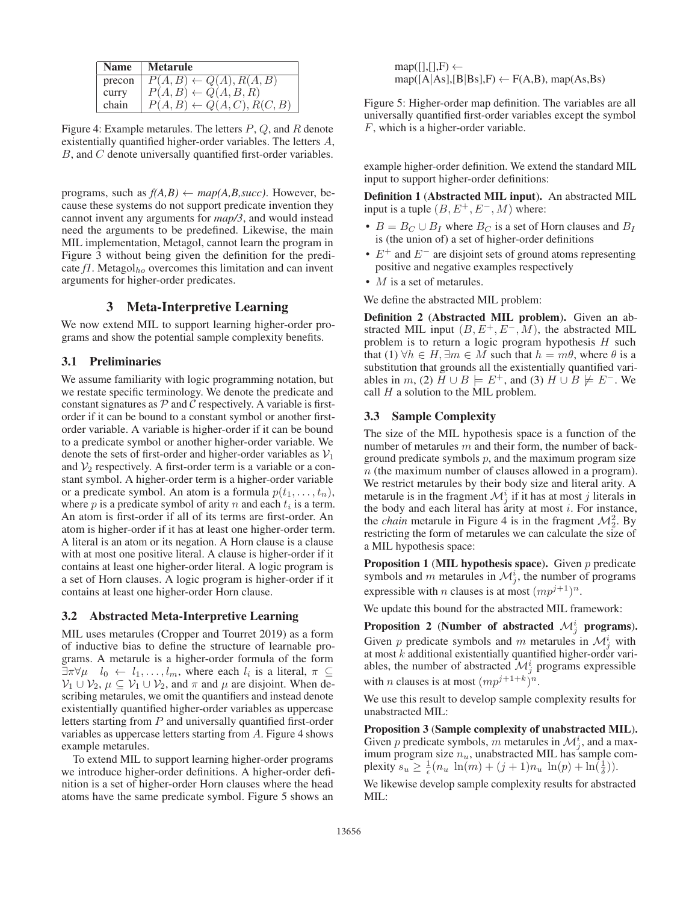|        | Name   Metarule                       |
|--------|---------------------------------------|
| precon | $P(A, B) \leftarrow Q(A), R(A, B)$    |
| curry  | $P(A, B) \leftarrow Q(A, B, R)$       |
| chain  | $P(A, B) \leftarrow Q(A, C), R(C, B)$ |

Figure 4: Example metarules. The letters  $P$ ,  $Q$ , and  $R$  denote existentially quantified higher-order variables. The letters A, B, and C denote universally quantified first-order variables.

programs, such as  $f(A,B) \leftarrow map(A,B,succ)$ . However, because these systems do not support predicate invention they cannot invent any arguments for *map/3*, and would instead need the arguments to be predefined. Likewise, the main MIL implementation, Metagol, cannot learn the program in Figure 3 without being given the definition for the predicate  $f$ . Metagol<sub>ho</sub> overcomes this limitation and can invent arguments for higher-order predicates.

# 3 Meta-Interpretive Learning

We now extend MIL to support learning higher-order programs and show the potential sample complexity benefits.

### 3.1 Preliminaries

We assume familiarity with logic programming notation, but we restate specific terminology. We denote the predicate and constant signatures as  $P$  and  $C$  respectively. A variable is firstorder if it can be bound to a constant symbol or another firstorder variable. A variable is higher-order if it can be bound to a predicate symbol or another higher-order variable. We denote the sets of first-order and higher-order variables as  $V_1$ and  $\mathcal{V}_2$  respectively. A first-order term is a variable or a constant symbol. A higher-order term is a higher-order variable or a predicate symbol. An atom is a formula  $p(t_1,...,t_n)$ , where p is a predicate symbol of arity n and each  $t_i$  is a term. An atom is first-order if all of its terms are first-order. An atom is higher-order if it has at least one higher-order term. A literal is an atom or its negation. A Horn clause is a clause with at most one positive literal. A clause is higher-order if it contains at least one higher-order literal. A logic program is a set of Horn clauses. A logic program is higher-order if it contains at least one higher-order Horn clause.

### 3.2 Abstracted Meta-Interpretive Learning

MIL uses metarules (Cropper and Tourret 2019) as a form of inductive bias to define the structure of learnable programs. A metarule is a higher-order formula of the form  $\exists \pi \forall \mu \quad l_0 \leftarrow l_1, \ldots, l_m$ , where each  $l_i$  is a literal,  $\pi \subseteq$  $\mathcal{V}_1 \cup \mathcal{V}_2$ ,  $\mu \subseteq \mathcal{V}_1 \cup \mathcal{V}_2$ , and  $\pi$  and  $\mu$  are disjoint. When describing metarules, we omit the quantifiers and instead denote existentially quantified higher-order variables as uppercase letters starting from P and universally quantified first-order variables as uppercase letters starting from A. Figure 4 shows example metarules.

To extend MIL to support learning higher-order programs we introduce higher-order definitions. A higher-order definition is a set of higher-order Horn clauses where the head atoms have the same predicate symbol. Figure 5 shows an

 $map([],[],F) \leftarrow$  $map([A|As],[B|Bs],F) \leftarrow F(A,B), map(As,Bs)$ 

Figure 5: Higher-order map definition. The variables are all universally quantified first-order variables except the symbol F, which is a higher-order variable.

example higher-order definition. We extend the standard MIL input to support higher-order definitions:

Definition 1 (Abstracted MIL input). An abstracted MIL input is a tuple  $(B, E^+, E^-, M)$  where:

- $B = B_C \cup B_I$  where  $B_C$  is a set of Horn clauses and  $B_I$ is (the union of) a set of higher-order definitions
- $E^+$  and  $E^-$  are disjoint sets of ground atoms representing positive and negative examples respectively
- *M* is a set of metarules.

We define the abstracted MIL problem:

Definition 2 (Abstracted MIL problem). Given an abstracted MIL input  $(B, E^+, E^-, M)$ , the abstracted MIL problem is to return a logic program hypothesis H such that (1)  $\forall h \in H$ ,  $\exists m \in M$  such that  $h = m\theta$ , where  $\theta$  is a substitution that grounds all the existentially quantified variables in m, (2)  $H \cup B \models E^+$ , and (3)  $H \cup B \not\models E^-$ . We call  $H$  a solution to the MIL problem.

### 3.3 Sample Complexity

The size of the MIL hypothesis space is a function of the number of metarules m and their form, the number of background predicate symbols  $p$ , and the maximum program size  $n$  (the maximum number of clauses allowed in a program). We restrict metarules by their body size and literal arity. A metarule is in the fragment  $\mathcal{M}_j^i$  if it has at most j literals in the body and each literal has arity at most  $i$ . For instance, the *chain* metarule in Figure 4 is in the fragment  $\mathcal{M}_2^2$ . By restricting the form of metarules we can calculate the size of a MIL hypothesis space:

Proposition 1 (MIL hypothesis space). Given  $p$  predicate symbols and m metarules in  $\mathcal{M}_j^i$ , the number of programs expressible with *n* clauses is at most  $(mp^{j+1})^n$ .

We update this bound for the abstracted MIL framework:

Proposition 2 (Number of abstracted  $\mathcal{M}_j^i$  programs). Given p predicate symbols and m metarules in  $\mathcal{M}_j^i$  with at most  $k$  additional existentially quantified higher-order variables, the number of abstracted  $\mathcal{M}_j^i$  programs expressible with *n* clauses is at most  $(mp^{j+1+k})^n$ .

We use this result to develop sample complexity results for unabstracted MIL:

Proposition 3 (Sample complexity of unabstracted MIL). Given p predicate symbols, m metarules in  $\mathcal{M}_{j}^{i}$ , and a maximum program size  $n_u$ , unabstracted MIL has sample complexity  $s_u \ge \frac{1}{\epsilon} (n_u \ln(m) + (j + 1)n_u \ln(p) + \ln(\frac{1}{\delta})).$ 

We likewise develop sample complexity results for abstracted MIL: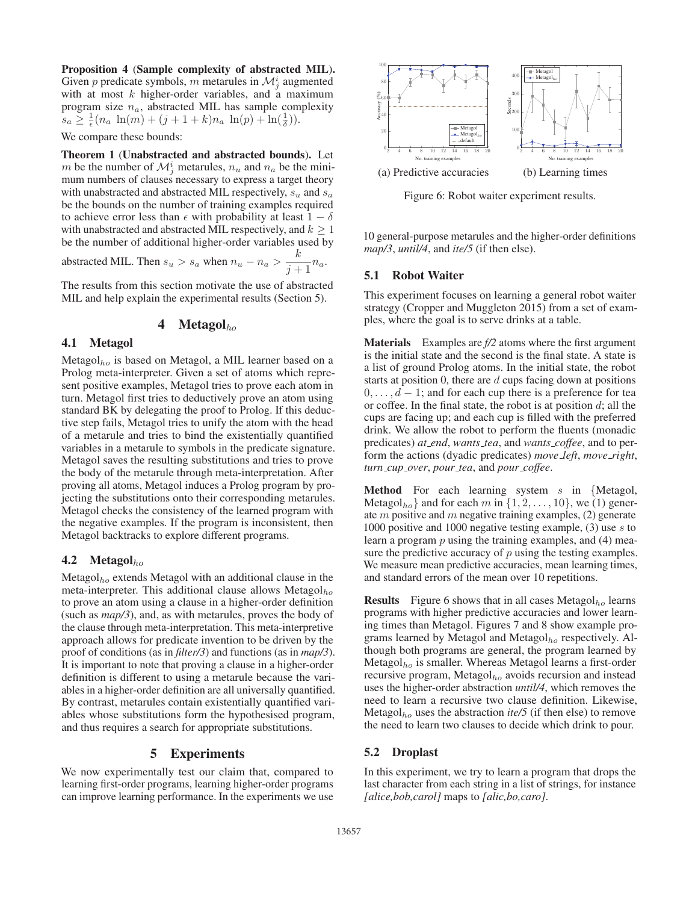Proposition 4 (Sample complexity of abstracted MIL). Given p predicate symbols, m metarules in  $\mathcal{M}_j^i$  augmented with at most  $k$  higher-order variables, and a maximum program size  $n_a$ , abstracted MIL has sample complexity  $s_a \geq \frac{1}{\epsilon} (n_a \ln(m) + (j + 1 + k)n_a \ln(p) + \ln(\frac{1}{\delta})).$ 

We compare these bounds:

Theorem 1 (Unabstracted and abstracted bounds). Let m be the number of  $\mathcal{M}_j^i$  metarules,  $n_u$  and  $n_a$  be the minimum numbers of clauses necessary to express a target theory with unabstracted and abstracted MIL respectively,  $s_u$  and  $s_a$ be the bounds on the number of training examples required to achieve error less than  $\epsilon$  with probability at least  $1 - \delta$ with unabstracted and abstracted MIL respectively, and  $k \geq 1$ be the number of additional higher-order variables used by abstracted MIL. Then  $s_u > s_a$  when  $n_u - n_a > \frac{k}{s+1}$  $\frac{\kappa}{j+1}n_a.$ 

The results from this section motivate the use of abstracted

MIL and help explain the experimental results (Section 5).

# 4 Metagol $_{ho}$

### 4.1 Metagol

Metagol<sub>ho</sub> is based on Metagol, a MIL learner based on a Prolog meta-interpreter. Given a set of atoms which represent positive examples, Metagol tries to prove each atom in turn. Metagol first tries to deductively prove an atom using standard BK by delegating the proof to Prolog. If this deductive step fails, Metagol tries to unify the atom with the head of a metarule and tries to bind the existentially quantified variables in a metarule to symbols in the predicate signature. Metagol saves the resulting substitutions and tries to prove the body of the metarule through meta-interpretation. After proving all atoms, Metagol induces a Prolog program by projecting the substitutions onto their corresponding metarules. Metagol checks the consistency of the learned program with the negative examples. If the program is inconsistent, then Metagol backtracks to explore different programs.

### **4.2** Metagol $_{ho}$

Metagol $_{ho}$  extends Metagol with an additional clause in the meta-interpreter. This additional clause allows Metagol $_{ho}$ to prove an atom using a clause in a higher-order definition (such as *map/3*), and, as with metarules, proves the body of the clause through meta-interpretation. This meta-interpretive approach allows for predicate invention to be driven by the proof of conditions (as in *filter/3*) and functions (as in *map/3*). It is important to note that proving a clause in a higher-order definition is different to using a metarule because the variables in a higher-order definition are all universally quantified. By contrast, metarules contain existentially quantified variables whose substitutions form the hypothesised program, and thus requires a search for appropriate substitutions.

# 5 Experiments

We now experimentally test our claim that, compared to learning first-order programs, learning higher-order programs can improve learning performance. In the experiments we use



Figure 6: Robot waiter experiment results.

10 general-purpose metarules and the higher-order definitions *map/3*, *until/4*, and *ite/5* (if then else).

# 5.1 Robot Waiter

This experiment focuses on learning a general robot waiter strategy (Cropper and Muggleton 2015) from a set of examples, where the goal is to serve drinks at a table.

Materials Examples are *f/2* atoms where the first argument is the initial state and the second is the final state. A state is a list of ground Prolog atoms. In the initial state, the robot starts at position 0, there are  $d$  cups facing down at positions  $0, \ldots, d-1$ ; and for each cup there is a preference for tea or coffee. In the final state, the robot is at position  $d$ ; all the cups are facing up; and each cup is filled with the preferred drink. We allow the robot to perform the fluents (monadic predicates) *at end*, *wants tea*, and *wants coffee*, and to perform the actions (dyadic predicates) *move left*, *move right*, *turn cup over*, *pour tea*, and *pour coffee*.

**Method** For each learning system  $s$  in {Metagol, Metagol<sub>ho</sub>} and for each m in  $\{1, 2, \ldots, 10\}$ , we (1) generate  $m$  positive and  $m$  negative training examples, (2) generate 1000 positive and 1000 negative testing example, (3) use s to learn a program  $p$  using the training examples, and  $(4)$  measure the predictive accuracy of  $p$  using the testing examples. We measure mean predictive accuracies, mean learning times, and standard errors of the mean over 10 repetitions.

**Results** Figure 6 shows that in all cases Metagol $_{ho}$  learns programs with higher predictive accuracies and lower learning times than Metagol. Figures 7 and 8 show example programs learned by Metagol and Metagol $_{ho}$  respectively. Although both programs are general, the program learned by Metagol $_{ho}$  is smaller. Whereas Metagol learns a first-order recursive program, Metagol $_{ho}$  avoids recursion and instead uses the higher-order abstraction *until/4*, which removes the need to learn a recursive two clause definition. Likewise, Metagol<sub>ho</sub> uses the abstraction *ite/5* (if then else) to remove the need to learn two clauses to decide which drink to pour.

### 5.2 Droplast

In this experiment, we try to learn a program that drops the last character from each string in a list of strings, for instance *[alice,bob,carol]* maps to *[alic,bo,caro]*.